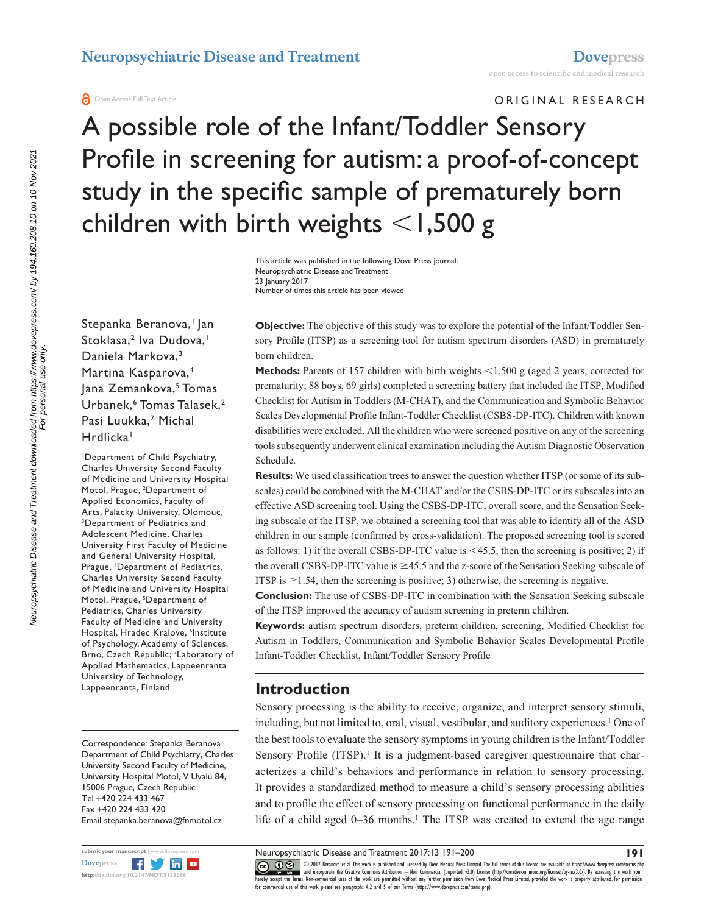Open Access Full Text Article

### ORIGINAL RESEARCH

A possible role of the Infant/Toddler Sensory Profile in screening for autism: a proof-of-concept study in the specific sample of prematurely born children with birth weights  $<$ 1,500 g

> Number of times this article has been viewed This article was published in the following Dove Press journal: Neuropsychiatric Disease and Treatment 23 January 2017

Stepanka Beranova,<sup>1</sup> Jan Stoklasa,<sup>2</sup> Iva Dudova,<sup>1</sup> Daniela Markova,<sup>3</sup> Martina Kasparova,4 Jana Zemankova,<sup>5</sup> Tomas Urbanek,<sup>6</sup> Tomas Talasek,<sup>2</sup> Pasi Luukka,<sup>7</sup> Michal Hrdlicka<sup>1</sup>

1 Department of Child Psychiatry, Charles University Second Faculty of Medicine and University Hospital Motol, Prague, <sup>2</sup> Department of Applied Economics, Faculty of Arts, Palacky University, Olomouc, 3 Department of Pediatrics and Adolescent Medicine, Charles University First Faculty of Medicine and General University Hospital, Prague, <sup>4</sup> Department of Pediatrics, Charles University Second Faculty of Medicine and University Hospital Motol, Prague, <sup>5</sup>Department of Pediatrics, Charles University Faculty of Medicine and University Hospital, Hradec Kralove, <sup>6</sup>Institute of Psychology, Academy of Sciences, Brno, Czech Republic; 7 Laboratory of Applied Mathematics, Lappeenranta University of Technology, Lappeenranta, Finland

Correspondence: Stepanka Beranova Department of Child Psychiatry, Charles University Second Faculty of Medicine, University Hospital Motol, V Uvalu 84, 15006 Prague, Czech Republic Tel +420 224 433 467 Fax +420 224 433 420 Email [stepanka.beranova@fnmotol.cz](mailto:stepanka.beranova@fnmotol.cz)



**Objective:** The objective of this study was to explore the potential of the Infant/Toddler Sensory Profile (ITSP) as a screening tool for autism spectrum disorders (ASD) in prematurely born children.

**Methods:** Parents of 157 children with birth weights  $\leq 1,500$  g (aged 2 years, corrected for prematurity; 88 boys, 69 girls) completed a screening battery that included the ITSP, Modified Checklist for Autism in Toddlers (M-CHAT), and the Communication and Symbolic Behavior Scales Developmental Profile Infant-Toddler Checklist (CSBS-DP-ITC). Children with known disabilities were excluded. All the children who were screened positive on any of the screening tools subsequently underwent clinical examination including the Autism Diagnostic Observation Schedule.

**Results:** We used classification trees to answer the question whether ITSP (or some of its subscales) could be combined with the M-CHAT and/or the CSBS-DP-ITC or its subscales into an effective ASD screening tool. Using the CSBS-DP-ITC, overall score, and the Sensation Seeking subscale of the ITSP, we obtained a screening tool that was able to identify all of the ASD children in our sample (confirmed by cross-validation). The proposed screening tool is scored as follows: 1) if the overall CSBS-DP-ITC value is  $\leq$ 45.5, then the screening is positive; 2) if the overall CSBS-DP-ITC value is  $\geq$ 45.5 and the z-score of the Sensation Seeking subscale of ITSP is  $\geq$ 1.54, then the screening is positive; 3) otherwise, the screening is negative.

**Conclusion:** The use of CSBS-DP-ITC in combination with the Sensation Seeking subscale of the ITSP improved the accuracy of autism screening in preterm children.

**Keywords:** autism spectrum disorders, preterm children, screening, Modified Checklist for Autism in Toddlers, Communication and Symbolic Behavior Scales Developmental Profile Infant-Toddler Checklist, Infant/Toddler Sensory Profile

## **Introduction**

Sensory processing is the ability to receive, organize, and interpret sensory stimuli, including, but not limited to, oral, visual, vestibular, and auditory experiences.<sup>1</sup> One of the best tools to evaluate the sensory symptoms in young children is the Infant/Toddler Sensory Profile (ITSP).<sup>1</sup> It is a judgment-based caregiver questionnaire that characterizes a child's behaviors and performance in relation to sensory processing. It provides a standardized method to measure a child's sensory processing abilities and to profile the effect of sensory processing on functional performance in the daily life of a child aged 0–36 months.<sup>1</sup> The ITSP was created to extend the age range

Neuropsychiatric Disease and Treatment 2017:13 191–200

**191**

CCC 1 © 2017 Beranova et al. This work is published and licensed by Dove Medical Press Limited. The full terms of this license are available at <https://www.dovepress.com/terms.php><br>[hereby accept the Terms](http://www.dovepress.com/permissions.php). Non-commercial us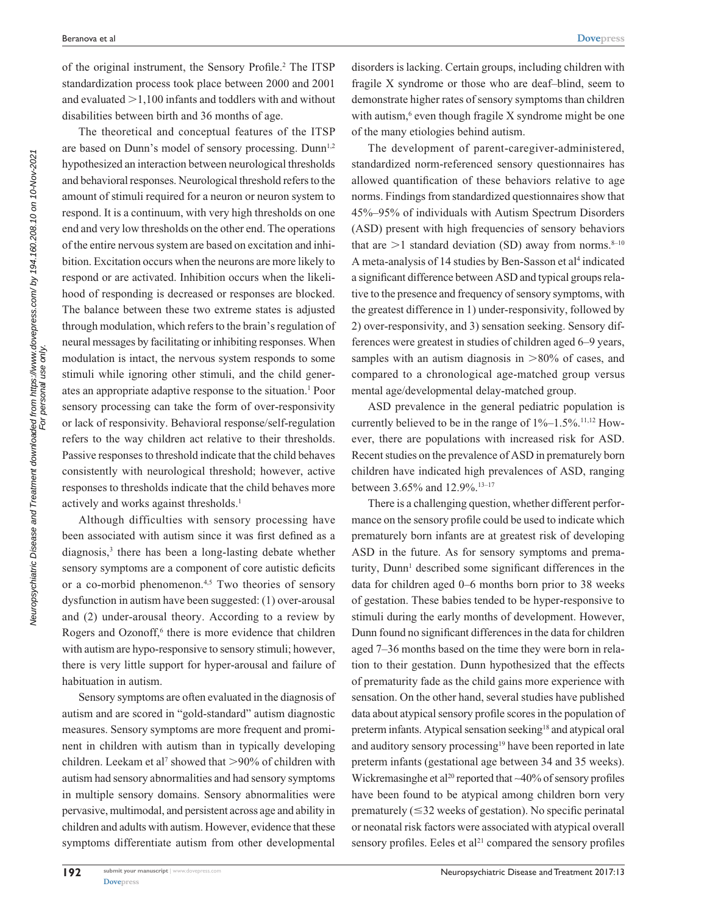of the original instrument, the Sensory Profile.<sup>2</sup> The ITSP standardization process took place between 2000 and 2001 and evaluated  $>1,100$  infants and toddlers with and without disabilities between birth and 36 months of age.

The theoretical and conceptual features of the ITSP are based on Dunn's model of sensory processing. Dunn<sup>1,2</sup> hypothesized an interaction between neurological thresholds and behavioral responses. Neurological threshold refers to the amount of stimuli required for a neuron or neuron system to respond. It is a continuum, with very high thresholds on one end and very low thresholds on the other end. The operations of the entire nervous system are based on excitation and inhibition. Excitation occurs when the neurons are more likely to respond or are activated. Inhibition occurs when the likelihood of responding is decreased or responses are blocked. The balance between these two extreme states is adjusted through modulation, which refers to the brain's regulation of neural messages by facilitating or inhibiting responses. When modulation is intact, the nervous system responds to some stimuli while ignoring other stimuli, and the child generates an appropriate adaptive response to the situation.<sup>1</sup> Poor sensory processing can take the form of over-responsivity or lack of responsivity. Behavioral response/self-regulation refers to the way children act relative to their thresholds. Passive responses to threshold indicate that the child behaves consistently with neurological threshold; however, active responses to thresholds indicate that the child behaves more actively and works against thresholds.1

Although difficulties with sensory processing have been associated with autism since it was first defined as a diagnosis,<sup>3</sup> there has been a long-lasting debate whether sensory symptoms are a component of core autistic deficits or a co-morbid phenomenon.<sup>4,5</sup> Two theories of sensory dysfunction in autism have been suggested: (1) over-arousal and (2) under-arousal theory. According to a review by Rogers and Ozonoff,<sup>6</sup> there is more evidence that children with autism are hypo-responsive to sensory stimuli; however, there is very little support for hyper-arousal and failure of habituation in autism.

Sensory symptoms are often evaluated in the diagnosis of autism and are scored in "gold-standard" autism diagnostic measures. Sensory symptoms are more frequent and prominent in children with autism than in typically developing children. Leekam et al<sup>7</sup> showed that  $>$ 90% of children with autism had sensory abnormalities and had sensory symptoms in multiple sensory domains. Sensory abnormalities were pervasive, multimodal, and persistent across age and ability in children and adults with autism. However, evidence that these symptoms differentiate autism from other developmental

disorders is lacking. Certain groups, including children with fragile X syndrome or those who are deaf–blind, seem to demonstrate higher rates of sensory symptoms than children with autism, $6$  even though fragile X syndrome might be one of the many etiologies behind autism.

The development of parent-caregiver-administered, standardized norm-referenced sensory questionnaires has allowed quantification of these behaviors relative to age norms. Findings from standardized questionnaires show that 45%–95% of individuals with Autism Spectrum Disorders (ASD) present with high frequencies of sensory behaviors that are  $>1$  standard deviation (SD) away from norms.<sup>8–10</sup> A meta-analysis of 14 studies by Ben-Sasson et al<sup>4</sup> indicated a significant difference between ASD and typical groups relative to the presence and frequency of sensory symptoms, with the greatest difference in 1) under-responsivity, followed by 2) over-responsivity, and 3) sensation seeking. Sensory differences were greatest in studies of children aged 6–9 years, samples with an autism diagnosis in  $>80\%$  of cases, and compared to a chronological age-matched group versus mental age/developmental delay-matched group.

ASD prevalence in the general pediatric population is currently believed to be in the range of  $1\%$ –1.5%.<sup>11,12</sup> However, there are populations with increased risk for ASD. Recent studies on the prevalence of ASD in prematurely born children have indicated high prevalences of ASD, ranging between 3.65% and 12.9%.13–17

There is a challenging question, whether different performance on the sensory profile could be used to indicate which prematurely born infants are at greatest risk of developing ASD in the future. As for sensory symptoms and prematurity, Dunn<sup>1</sup> described some significant differences in the data for children aged 0–6 months born prior to 38 weeks of gestation. These babies tended to be hyper-responsive to stimuli during the early months of development. However, Dunn found no significant differences in the data for children aged 7–36 months based on the time they were born in relation to their gestation. Dunn hypothesized that the effects of prematurity fade as the child gains more experience with sensation. On the other hand, several studies have published data about atypical sensory profile scores in the population of preterm infants. Atypical sensation seeking<sup>18</sup> and atypical oral and auditory sensory processing<sup>19</sup> have been reported in late preterm infants (gestational age between 34 and 35 weeks). Wickremasinghe et al<sup>20</sup> reported that  $\sim$ 40% of sensory profiles have been found to be atypical among children born very prematurely  $(\leq 32$  weeks of gestation). No specific perinatal or neonatal risk factors were associated with atypical overall sensory profiles. Eeles et  $al<sup>21</sup>$  compared the sensory profiles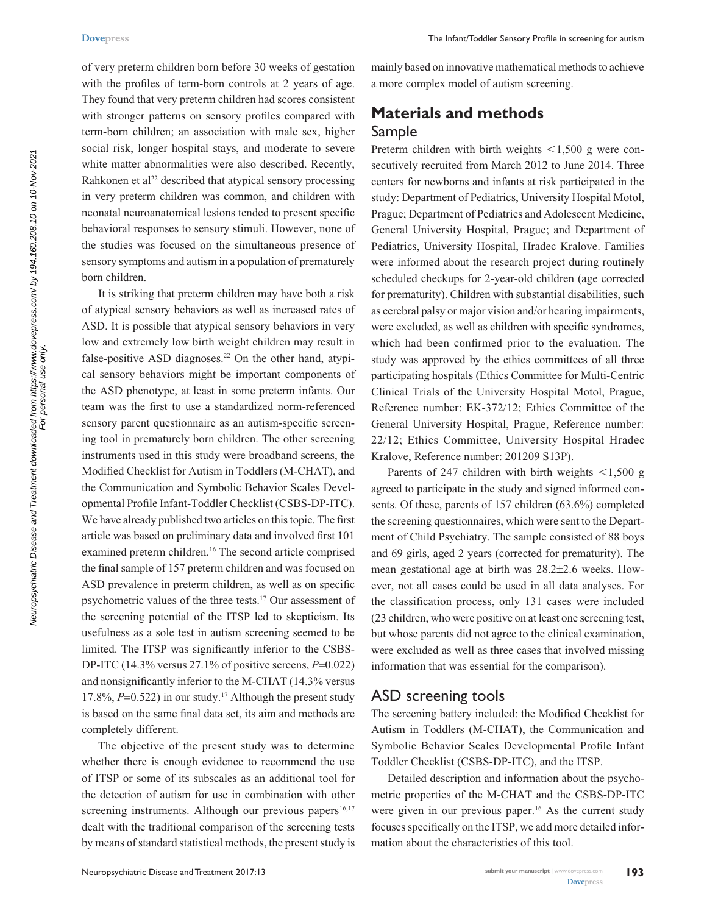of very preterm children born before 30 weeks of gestation with the profiles of term-born controls at 2 years of age. They found that very preterm children had scores consistent with stronger patterns on sensory profiles compared with term-born children; an association with male sex, higher social risk, longer hospital stays, and moderate to severe white matter abnormalities were also described. Recently, Rahkonen et  $al<sup>22</sup>$  described that atypical sensory processing in very preterm children was common, and children with neonatal neuroanatomical lesions tended to present specific behavioral responses to sensory stimuli. However, none of the studies was focused on the simultaneous presence of sensory symptoms and autism in a population of prematurely born children.

It is striking that preterm children may have both a risk of atypical sensory behaviors as well as increased rates of ASD. It is possible that atypical sensory behaviors in very low and extremely low birth weight children may result in false-positive ASD diagnoses.<sup>22</sup> On the other hand, atypical sensory behaviors might be important components of the ASD phenotype, at least in some preterm infants. Our team was the first to use a standardized norm-referenced sensory parent questionnaire as an autism-specific screening tool in prematurely born children. The other screening instruments used in this study were broadband screens, the Modified Checklist for Autism in Toddlers (M-CHAT), and the Communication and Symbolic Behavior Scales Developmental Profile Infant-Toddler Checklist (CSBS-DP-ITC). We have already published two articles on this topic. The first article was based on preliminary data and involved first 101 examined preterm children.<sup>16</sup> The second article comprised the final sample of 157 preterm children and was focused on ASD prevalence in preterm children, as well as on specific psychometric values of the three tests.17 Our assessment of the screening potential of the ITSP led to skepticism. Its usefulness as a sole test in autism screening seemed to be limited. The ITSP was significantly inferior to the CSBS-DP-ITC (14.3% versus 27.1% of positive screens, *P*=0.022) and nonsignificantly inferior to the M-CHAT (14.3% versus 17.8%,  $P=0.522$ ) in our study.<sup>17</sup> Although the present study is based on the same final data set, its aim and methods are completely different.

The objective of the present study was to determine whether there is enough evidence to recommend the use of ITSP or some of its subscales as an additional tool for the detection of autism for use in combination with other screening instruments. Although our previous papers $16,17$ dealt with the traditional comparison of the screening tests by means of standard statistical methods, the present study is mainly based on innovative mathematical methods to achieve a more complex model of autism screening.

## **Materials and methods** Sample

Preterm children with birth weights  $\leq 1,500$  g were consecutively recruited from March 2012 to June 2014. Three centers for newborns and infants at risk participated in the study: Department of Pediatrics, University Hospital Motol, Prague; Department of Pediatrics and Adolescent Medicine, General University Hospital, Prague; and Department of Pediatrics, University Hospital, Hradec Kralove. Families were informed about the research project during routinely scheduled checkups for 2-year-old children (age corrected for prematurity). Children with substantial disabilities, such as cerebral palsy or major vision and/or hearing impairments, were excluded, as well as children with specific syndromes, which had been confirmed prior to the evaluation. The study was approved by the ethics committees of all three participating hospitals (Ethics Committee for Multi-Centric Clinical Trials of the University Hospital Motol, Prague, Reference number: EK-372/12; Ethics Committee of the General University Hospital, Prague, Reference number: 22/12; Ethics Committee, University Hospital Hradec Kralove, Reference number: 201209 S13P).

Parents of 247 children with birth weights  $\leq 1,500$  g agreed to participate in the study and signed informed consents. Of these, parents of 157 children (63.6%) completed the screening questionnaires, which were sent to the Department of Child Psychiatry. The sample consisted of 88 boys and 69 girls, aged 2 years (corrected for prematurity). The mean gestational age at birth was 28.2±2.6 weeks. However, not all cases could be used in all data analyses. For the classification process, only 131 cases were included (23 children, who were positive on at least one screening test, but whose parents did not agree to the clinical examination, were excluded as well as three cases that involved missing information that was essential for the comparison).

## ASD screening tools

The screening battery included: the Modified Checklist for Autism in Toddlers (M-CHAT), the Communication and Symbolic Behavior Scales Developmental Profile Infant Toddler Checklist (CSBS-DP-ITC), and the ITSP.

Detailed description and information about the psychometric properties of the M-CHAT and the CSBS-DP-ITC were given in our previous paper.<sup>16</sup> As the current study focuses specifically on the ITSP, we add more detailed information about the characteristics of this tool.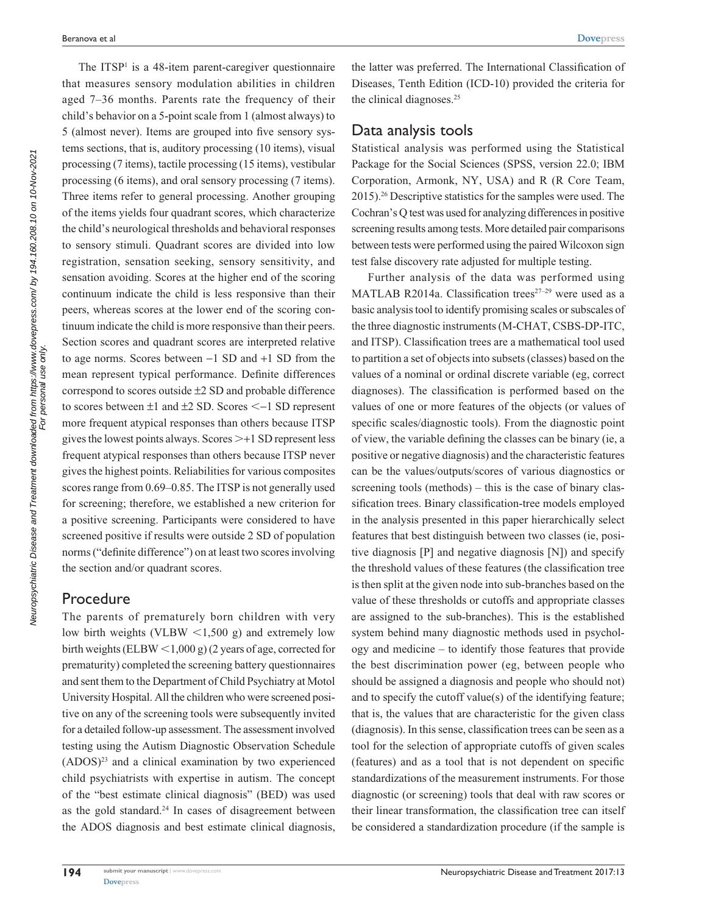The  $ITSP<sup>1</sup>$  is a 48-item parent-caregiver questionnaire that measures sensory modulation abilities in children aged 7–36 months. Parents rate the frequency of their child's behavior on a 5-point scale from 1 (almost always) to 5 (almost never). Items are grouped into five sensory systems sections, that is, auditory processing (10 items), visual processing (7 items), tactile processing (15 items), vestibular processing (6 items), and oral sensory processing (7 items). Three items refer to general processing. Another grouping of the items yields four quadrant scores, which characterize the child's neurological thresholds and behavioral responses to sensory stimuli. Quadrant scores are divided into low registration, sensation seeking, sensory sensitivity, and sensation avoiding. Scores at the higher end of the scoring continuum indicate the child is less responsive than their peers, whereas scores at the lower end of the scoring continuum indicate the child is more responsive than their peers. Section scores and quadrant scores are interpreted relative to age norms. Scores between −1 SD and +1 SD from the mean represent typical performance. Definite differences correspond to scores outside ±2 SD and probable difference to scores between  $\pm 1$  and  $\pm 2$  SD. Scores <−1 SD represent more frequent atypical responses than others because ITSP gives the lowest points always. Scores  $\geq +1$  SD represent less frequent atypical responses than others because ITSP never gives the highest points. Reliabilities for various composites scores range from 0.69–0.85. The ITSP is not generally used for screening; therefore, we established a new criterion for a positive screening. Participants were considered to have screened positive if results were outside 2 SD of population norms ("definite difference") on at least two scores involving the section and/or quadrant scores.

### Procedure

The parents of prematurely born children with very low birth weights (VLBW  $\leq 1,500$  g) and extremely low birth weights (ELBW  $\leq$  1,000 g) (2 years of age, corrected for prematurity) completed the screening battery questionnaires and sent them to the Department of Child Psychiatry at Motol University Hospital. All the children who were screened positive on any of the screening tools were subsequently invited for a detailed follow-up assessment. The assessment involved testing using the Autism Diagnostic Observation Schedule  $(ADOS)^{23}$  and a clinical examination by two experienced child psychiatrists with expertise in autism. The concept of the "best estimate clinical diagnosis" (BED) was used as the gold standard.<sup>24</sup> In cases of disagreement between the ADOS diagnosis and best estimate clinical diagnosis, the latter was preferred. The International Classification of Diseases, Tenth Edition (ICD-10) provided the criteria for the clinical diagnoses.<sup>25</sup>

## Data analysis tools

Statistical analysis was performed using the Statistical Package for the Social Sciences (SPSS, version 22.0; IBM Corporation, Armonk, NY, USA) and R (R Core Team, 2015).26 Descriptive statistics for the samples were used. The Cochran's Q test was used for analyzing differences in positive screening results among tests. More detailed pair comparisons between tests were performed using the paired Wilcoxon sign test false discovery rate adjusted for multiple testing.

Further analysis of the data was performed using MATLAB R2014a. Classification trees<sup>27-29</sup> were used as a basic analysis tool to identify promising scales or subscales of the three diagnostic instruments (M-CHAT, CSBS-DP-ITC, and ITSP). Classification trees are a mathematical tool used to partition a set of objects into subsets (classes) based on the values of a nominal or ordinal discrete variable (eg, correct diagnoses). The classification is performed based on the values of one or more features of the objects (or values of specific scales/diagnostic tools). From the diagnostic point of view, the variable defining the classes can be binary (ie, a positive or negative diagnosis) and the characteristic features can be the values/outputs/scores of various diagnostics or screening tools (methods) – this is the case of binary classification trees. Binary classification-tree models employed in the analysis presented in this paper hierarchically select features that best distinguish between two classes (ie, positive diagnosis [P] and negative diagnosis [N]) and specify the threshold values of these features (the classification tree is then split at the given node into sub-branches based on the value of these thresholds or cutoffs and appropriate classes are assigned to the sub-branches). This is the established system behind many diagnostic methods used in psychology and medicine – to identify those features that provide the best discrimination power (eg, between people who should be assigned a diagnosis and people who should not) and to specify the cutoff value(s) of the identifying feature; that is, the values that are characteristic for the given class (diagnosis). In this sense, classification trees can be seen as a tool for the selection of appropriate cutoffs of given scales (features) and as a tool that is not dependent on specific standardizations of the measurement instruments. For those diagnostic (or screening) tools that deal with raw scores or their linear transformation, the classification tree can itself be considered a standardization procedure (if the sample is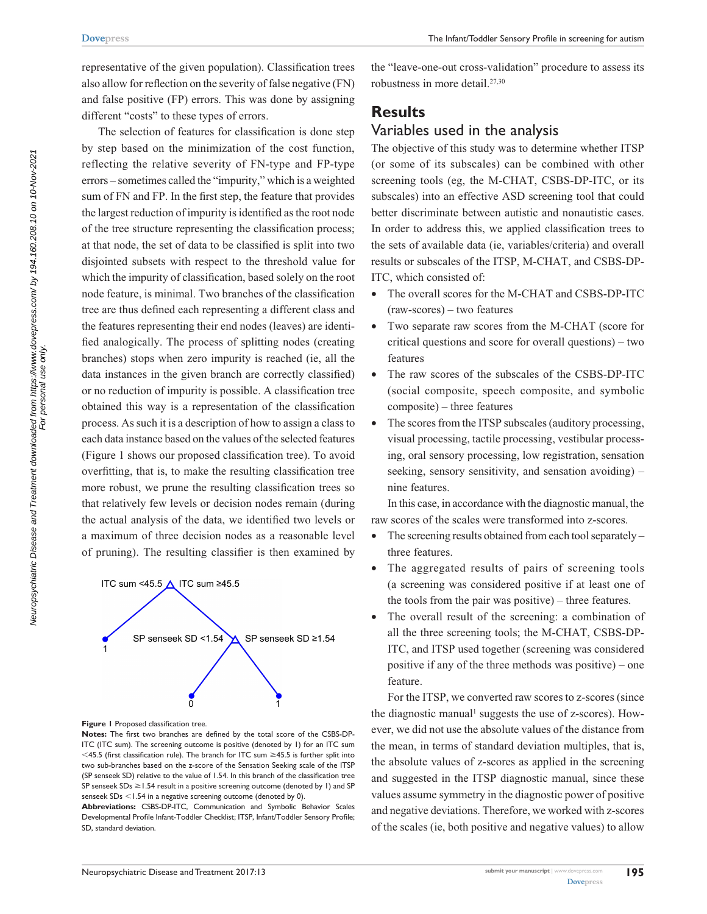representative of the given population). Classification trees also allow for reflection on the severity of false negative (FN) and false positive (FP) errors. This was done by assigning different "costs" to these types of errors.

The selection of features for classification is done step by step based on the minimization of the cost function, reflecting the relative severity of FN-type and FP-type errors – sometimes called the "impurity," which is a weighted sum of FN and FP. In the first step, the feature that provides the largest reduction of impurity is identified as the root node of the tree structure representing the classification process; at that node, the set of data to be classified is split into two disjointed subsets with respect to the threshold value for which the impurity of classification, based solely on the root node feature, is minimal. Two branches of the classification tree are thus defined each representing a different class and the features representing their end nodes (leaves) are identified analogically. The process of splitting nodes (creating branches) stops when zero impurity is reached (ie, all the data instances in the given branch are correctly classified) or no reduction of impurity is possible. A classification tree obtained this way is a representation of the classification process. As such it is a description of how to assign a class to each data instance based on the values of the selected features (Figure 1 shows our proposed classification tree). To avoid overfitting, that is, to make the resulting classification tree more robust, we prune the resulting classification trees so that relatively few levels or decision nodes remain (during the actual analysis of the data, we identified two levels or a maximum of three decision nodes as a reasonable level of pruning). The resulting classifier is then examined by



#### **Figure 1** Proposed classification tree.

**Notes:** The first two branches are defined by the total score of the CSBS-DP-ITC (ITC sum). The screening outcome is positive (denoted by 1) for an ITC sum <45.5 (first classification rule). The branch for ITC sum  $\geq$ 45.5 is further split into two sub-branches based on the z-score of the Sensation Seeking scale of the ITSP (SP senseek SD) relative to the value of 1.54. In this branch of the classification tree SP senseek SDs  $\ge$  1.54 result in a positive screening outcome (denoted by 1) and SP senseek SDs <1.54 in a negative screening outcome (denoted by 0).

**Abbreviations:** CSBS-DP-ITC, Communication and Symbolic Behavior Scales Developmental Profile Infant-Toddler Checklist; ITSP, Infant/Toddler Sensory Profile; SD, standard deviation.

the "leave-one-out cross-validation" procedure to assess its robustness in more detail.<sup>27,30</sup>

### **Results**

### Variables used in the analysis

The objective of this study was to determine whether ITSP (or some of its subscales) can be combined with other screening tools (eg, the M-CHAT, CSBS-DP-ITC, or its subscales) into an effective ASD screening tool that could better discriminate between autistic and nonautistic cases. In order to address this, we applied classification trees to the sets of available data (ie, variables/criteria) and overall results or subscales of the ITSP, M-CHAT, and CSBS-DP-ITC, which consisted of:

- The overall scores for the M-CHAT and CSBS-DP-ITC (raw-scores) – two features
- Two separate raw scores from the M-CHAT (score for critical questions and score for overall questions) – two features
- The raw scores of the subscales of the CSBS-DP-ITC (social composite, speech composite, and symbolic composite) – three features
- The scores from the ITSP subscales (auditory processing, visual processing, tactile processing, vestibular processing, oral sensory processing, low registration, sensation seeking, sensory sensitivity, and sensation avoiding) – nine features.

In this case, in accordance with the diagnostic manual, the raw scores of the scales were transformed into z-scores.

- The screening results obtained from each tool separately  $$ three features.
- The aggregated results of pairs of screening tools (a screening was considered positive if at least one of the tools from the pair was positive) – three features.
- The overall result of the screening: a combination of all the three screening tools; the M-CHAT, CSBS-DP-ITC, and ITSP used together (screening was considered positive if any of the three methods was positive) – one feature.

For the ITSP, we converted raw scores to z-scores (since the diagnostic manual<sup>1</sup> suggests the use of z-scores). However, we did not use the absolute values of the distance from the mean, in terms of standard deviation multiples, that is, the absolute values of z-scores as applied in the screening and suggested in the ITSP diagnostic manual, since these values assume symmetry in the diagnostic power of positive and negative deviations. Therefore, we worked with z-scores of the scales (ie, both positive and negative values) to allow

For personal use only.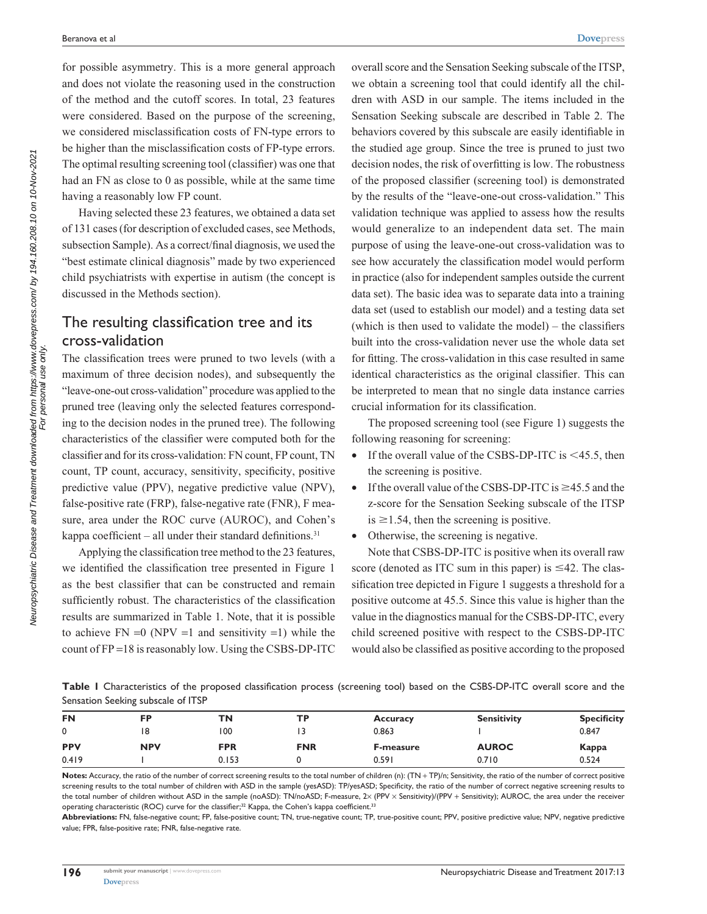for possible asymmetry. This is a more general approach and does not violate the reasoning used in the construction of the method and the cutoff scores. In total, 23 features were considered. Based on the purpose of the screening, we considered misclassification costs of FN-type errors to be higher than the misclassification costs of FP-type errors. The optimal resulting screening tool (classifier) was one that had an FN as close to 0 as possible, while at the same time having a reasonably low FP count.

Having selected these 23 features, we obtained a data set of 131 cases (for description of excluded cases, see Methods, subsection Sample). As a correct/final diagnosis, we used the "best estimate clinical diagnosis" made by two experienced child psychiatrists with expertise in autism (the concept is discussed in the Methods section).

## The resulting classification tree and its cross-validation

The classification trees were pruned to two levels (with a maximum of three decision nodes), and subsequently the "leave-one-out cross-validation" procedure was applied to the pruned tree (leaving only the selected features corresponding to the decision nodes in the pruned tree). The following characteristics of the classifier were computed both for the classifier and for its cross-validation: FN count, FP count, TN count, TP count, accuracy, sensitivity, specificity, positive predictive value (PPV), negative predictive value (NPV), false-positive rate (FRP), false-negative rate (FNR), F measure, area under the ROC curve (AUROC), and Cohen's kappa coefficient – all under their standard definitions.<sup>31</sup>

Applying the classification tree method to the 23 features, we identified the classification tree presented in Figure 1 as the best classifier that can be constructed and remain sufficiently robust. The characteristics of the classification results are summarized in Table 1. Note, that it is possible to achieve  $FN = 0$  (NPV =1 and sensitivity =1) while the count of FP =18 is reasonably low. Using the CSBS-DP-ITC overall score and the Sensation Seeking subscale of the ITSP, we obtain a screening tool that could identify all the children with ASD in our sample. The items included in the Sensation Seeking subscale are described in Table 2. The behaviors covered by this subscale are easily identifiable in the studied age group. Since the tree is pruned to just two decision nodes, the risk of overfitting is low. The robustness of the proposed classifier (screening tool) is demonstrated by the results of the "leave-one-out cross-validation." This validation technique was applied to assess how the results would generalize to an independent data set. The main purpose of using the leave-one-out cross-validation was to see how accurately the classification model would perform in practice (also for independent samples outside the current data set). The basic idea was to separate data into a training data set (used to establish our model) and a testing data set (which is then used to validate the model) – the classifiers built into the cross-validation never use the whole data set for fitting. The cross-validation in this case resulted in same identical characteristics as the original classifier. This can be interpreted to mean that no single data instance carries crucial information for its classification.

The proposed screening tool (see Figure 1) suggests the following reasoning for screening:

- If the overall value of the CSBS-DP-ITC is  $\leq$ 45.5, then the screening is positive.
- If the overall value of the CSBS-DP-ITC is  $\geq$ 45.5 and the z-score for the Sensation Seeking subscale of the ITSP is  $\geq$ 1.54, then the screening is positive.
- Otherwise, the screening is negative.

Note that CSBS-DP-ITC is positive when its overall raw score (denoted as ITC sum in this paper) is  $\leq 42$ . The classification tree depicted in Figure 1 suggests a threshold for a positive outcome at 45.5. Since this value is higher than the value in the diagnostics manual for the CSBS-DP-ITC, every child screened positive with respect to the CSBS-DP-ITC would also be classified as positive according to the proposed

**Table 1** Characteristics of the proposed classification process (screening tool) based on the CSBS-DP-ITC overall score and the Sensation Seeking subscale of ITSP

| <b>FN</b>  | FP         | ΤN         | ΤР         | <b>Accuracy</b>  | <b>Sensitivity</b> | <b>Specificity</b> |
|------------|------------|------------|------------|------------------|--------------------|--------------------|
| 0          |            | 100        |            | 0.863            |                    | 0.847              |
| <b>PPV</b> | <b>NPV</b> | <b>FPR</b> | <b>FNR</b> | <b>F-measure</b> | <b>AUROC</b>       | Kappa              |
| 0.419      |            | 0.153      |            | 0.591            | 0.710              | 0.524              |

**Notes:** Accuracy, the ratio of the number of correct screening results to the total number of children (n): (TN + TP)/n; Sensitivity, the ratio of the number of correct positive screening results to the total number of children with ASD in the sample (yesASD): TP/yesASD; Specificity, the ratio of the number of correct negative screening results to the total number of children without ASD in the sample (noASD): TN/noASD; F-measure, 2× (PPV × Sensitivity)/(PPV + Sensitivity); AUROC, the area under the receiver operating characteristic (ROC) curve for the classifier;<sup>32</sup> Kappa, the Cohen's kappa coefficient.<sup>33</sup>

**Abbreviations:** FN, false-negative count; FP, false-positive count; TN, true-negative count; TP, true-positive count; PPV, positive predictive value; NPV, negative predictive value; FPR, false-positive rate; FNR, false-negative rate.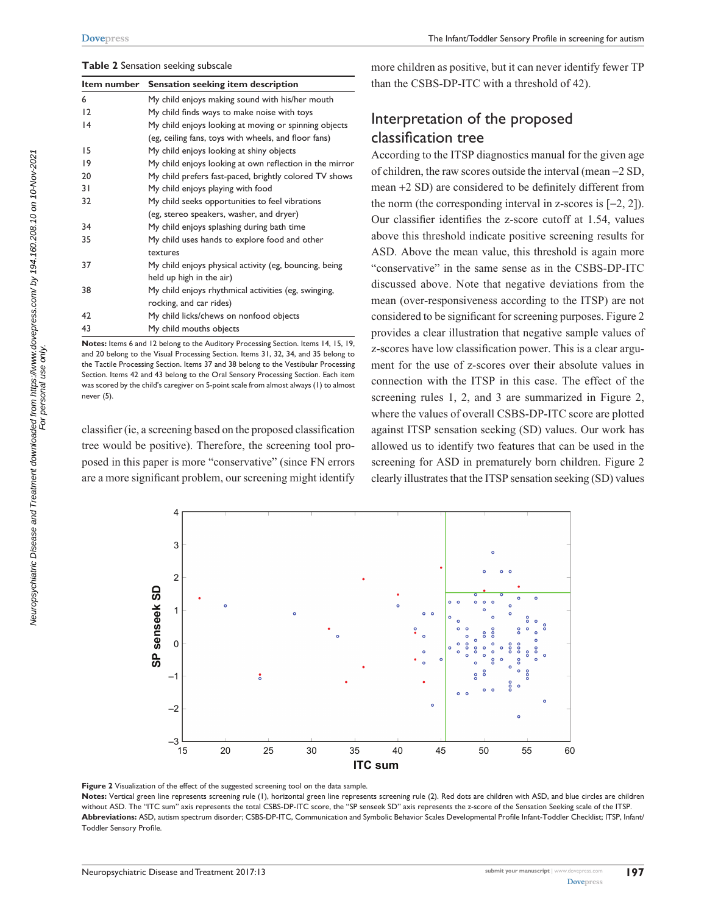#### **Table 2** Sensation seeking subscale

| Item number | Sensation seeking item description                      |
|-------------|---------------------------------------------------------|
| 6           | My child enjoys making sound with his/her mouth         |
| 12          | My child finds ways to make noise with toys             |
| 4           | My child enjoys looking at moving or spinning objects   |
|             | (eg, ceiling fans, toys with wheels, and floor fans)    |
| 15          | My child enjoys looking at shiny objects                |
| 9           | My child enjoys looking at own reflection in the mirror |
| 20          | My child prefers fast-paced, brightly colored TV shows  |
| 31          | My child enjoys playing with food                       |
| 32          | My child seeks opportunities to feel vibrations         |
|             | (eg, stereo speakers, washer, and dryer)                |
| 34          | My child enjoys splashing during bath time              |
| 35          | My child uses hands to explore food and other           |
|             | textures                                                |
| 37          | My child enjoys physical activity (eg, bouncing, being  |
|             | held up high in the air)                                |
| 38          | My child enjoys rhythmical activities (eg, swinging,    |
|             | rocking, and car rides)                                 |
| 42          | My child licks/chews on nonfood objects                 |
| 43          | My child mouths objects                                 |

**Notes:** Items 6 and 12 belong to the Auditory Processing Section. Items 14, 15, 19, and 20 belong to the Visual Processing Section. Items 31, 32, 34, and 35 belong to the Tactile Processing Section. Items 37 and 38 belong to the Vestibular Processing Section. Items 42 and 43 belong to the Oral Sensory Processing Section. Each item was scored by the child's caregiver on 5-point scale from almost always (1) to almost never (5).

classifier (ie, a screening based on the proposed classification tree would be positive). Therefore, the screening tool proposed in this paper is more "conservative" (since FN errors are a more significant problem, our screening might identify more children as positive, but it can never identify fewer TP than the CSBS-DP-ITC with a threshold of 42).

## Interpretation of the proposed classification tree

According to the ITSP diagnostics manual for the given age of children, the raw scores outside the interval (mean −2 SD, mean +2 SD) are considered to be definitely different from the norm (the corresponding interval in z-scores is [−2, 2]). Our classifier identifies the z-score cutoff at 1.54, values above this threshold indicate positive screening results for ASD. Above the mean value, this threshold is again more "conservative" in the same sense as in the CSBS-DP-ITC discussed above. Note that negative deviations from the mean (over-responsiveness according to the ITSP) are not considered to be significant for screening purposes. Figure 2 provides a clear illustration that negative sample values of z-scores have low classification power. This is a clear argument for the use of z-scores over their absolute values in connection with the ITSP in this case. The effect of the screening rules 1, 2, and 3 are summarized in Figure 2, where the values of overall CSBS-DP-ITC score are plotted against ITSP sensation seeking (SD) values. Our work has allowed us to identify two features that can be used in the screening for ASD in prematurely born children. Figure 2 clearly illustrates that the ITSP sensation seeking (SD) values



**Figure 2** Visualization of the effect of the suggested screening tool on the data sample.

**Notes:** Vertical green line represents screening rule (1), horizontal green line represents screening rule (2). Red dots are children with ASD, and blue circles are children without ASD. The "ITC sum" axis represents the total CSBS-DP-ITC score, the "SP senseek SD" axis represents the z-score of the Sensation Seeking scale of the ITSP. **Abbreviations:** ASD, autism spectrum disorder; CSBS-DP-ITC, Communication and Symbolic Behavior Scales Developmental Profile Infant-Toddler Checklist; ITSP, Infant/ Toddler Sensory Profile.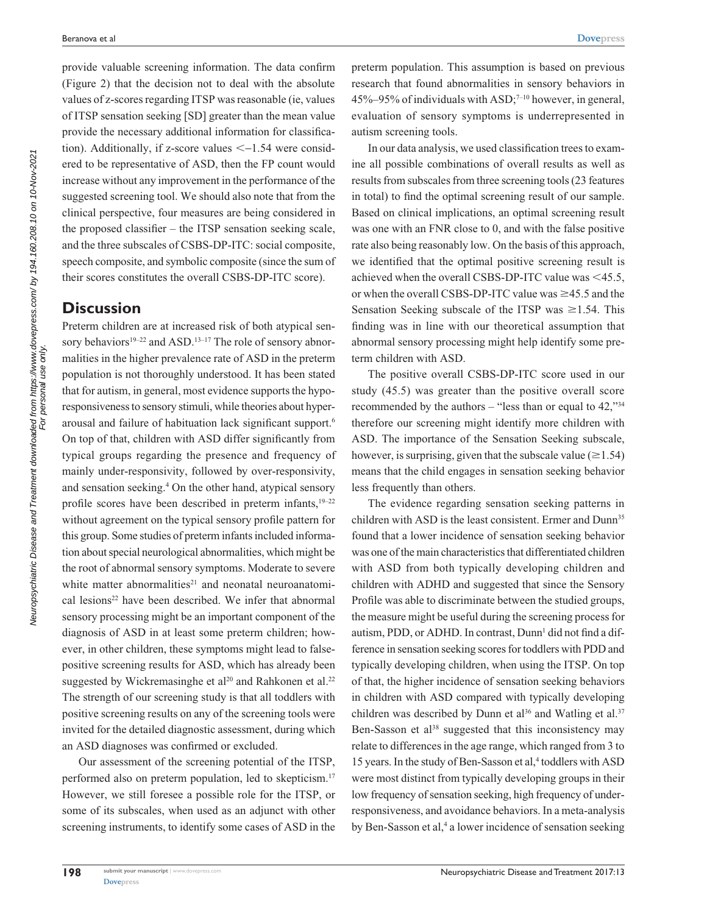provide valuable screening information. The data confirm (Figure 2) that the decision not to deal with the absolute values of z-scores regarding ITSP was reasonable (ie, values of ITSP sensation seeking [SD] greater than the mean value provide the necessary additional information for classification). Additionally, if z-score values  $\le$ −1.54 were considered to be representative of ASD, then the FP count would increase without any improvement in the performance of the suggested screening tool. We should also note that from the clinical perspective, four measures are being considered in the proposed classifier – the ITSP sensation seeking scale, and the three subscales of CSBS-DP-ITC: social composite, speech composite, and symbolic composite (since the sum of their scores constitutes the overall CSBS-DP-ITC score).

### **Discussion**

Preterm children are at increased risk of both atypical sensory behaviors<sup>19-22</sup> and ASD.<sup>13-17</sup> The role of sensory abnormalities in the higher prevalence rate of ASD in the preterm population is not thoroughly understood. It has been stated that for autism, in general, most evidence supports the hyporesponsiveness to sensory stimuli, while theories about hyperarousal and failure of habituation lack significant support.6 On top of that, children with ASD differ significantly from typical groups regarding the presence and frequency of mainly under-responsivity, followed by over-responsivity, and sensation seeking.<sup>4</sup> On the other hand, atypical sensory profile scores have been described in preterm infants,<sup>19–22</sup> without agreement on the typical sensory profile pattern for this group. Some studies of preterm infants included information about special neurological abnormalities, which might be the root of abnormal sensory symptoms. Moderate to severe white matter abnormalities $21$  and neonatal neuroanatomical lesions<sup>22</sup> have been described. We infer that abnormal sensory processing might be an important component of the diagnosis of ASD in at least some preterm children; however, in other children, these symptoms might lead to falsepositive screening results for ASD, which has already been suggested by Wickremasinghe et al<sup>20</sup> and Rahkonen et al.<sup>22</sup> The strength of our screening study is that all toddlers with positive screening results on any of the screening tools were invited for the detailed diagnostic assessment, during which an ASD diagnoses was confirmed or excluded.

Our assessment of the screening potential of the ITSP, performed also on preterm population, led to skepticism.<sup>17</sup> However, we still foresee a possible role for the ITSP, or some of its subscales, when used as an adjunct with other screening instruments, to identify some cases of ASD in the preterm population. This assumption is based on previous research that found abnormalities in sensory behaviors in  $45\% - 95\%$  of individuals with ASD;<sup>7-10</sup> however, in general, evaluation of sensory symptoms is underrepresented in autism screening tools.

In our data analysis, we used classification trees to examine all possible combinations of overall results as well as results from subscales from three screening tools (23 features in total) to find the optimal screening result of our sample. Based on clinical implications, an optimal screening result was one with an FNR close to 0, and with the false positive rate also being reasonably low. On the basis of this approach, we identified that the optimal positive screening result is achieved when the overall CSBS-DP-ITC value was  $\leq 45.5$ , or when the overall CSBS-DP-ITC value was  $\geq$ 45.5 and the Sensation Seeking subscale of the ITSP was  $\geq$ 1.54. This finding was in line with our theoretical assumption that abnormal sensory processing might help identify some preterm children with ASD.

The positive overall CSBS-DP-ITC score used in our study (45.5) was greater than the positive overall score recommended by the authors – "less than or equal to 42,"34 therefore our screening might identify more children with ASD. The importance of the Sensation Seeking subscale, however, is surprising, given that the subscale value ( $\geq$ 1.54) means that the child engages in sensation seeking behavior less frequently than others.

The evidence regarding sensation seeking patterns in children with ASD is the least consistent. Ermer and Dunn<sup>35</sup> found that a lower incidence of sensation seeking behavior was one of the main characteristics that differentiated children with ASD from both typically developing children and children with ADHD and suggested that since the Sensory Profile was able to discriminate between the studied groups, the measure might be useful during the screening process for autism, PDD, or ADHD. In contrast, Dunn<sup>1</sup> did not find a difference in sensation seeking scores for toddlers with PDD and typically developing children, when using the ITSP. On top of that, the higher incidence of sensation seeking behaviors in children with ASD compared with typically developing children was described by Dunn et al<sup>36</sup> and Watling et al.<sup>37</sup> Ben-Sasson et al<sup>38</sup> suggested that this inconsistency may relate to differences in the age range, which ranged from 3 to 15 years. In the study of Ben-Sasson et al,<sup>4</sup> toddlers with ASD were most distinct from typically developing groups in their low frequency of sensation seeking, high frequency of underresponsiveness, and avoidance behaviors. In a meta-analysis by Ben-Sasson et al,<sup>4</sup> a lower incidence of sensation seeking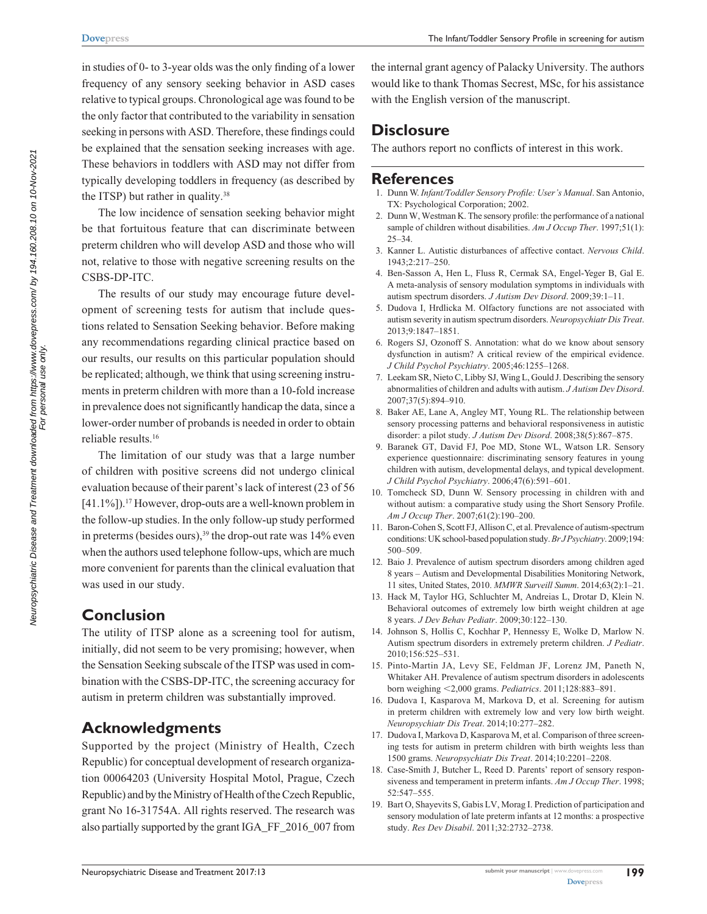in studies of 0- to 3-year olds was the only finding of a lower frequency of any sensory seeking behavior in ASD cases relative to typical groups. Chronological age was found to be the only factor that contributed to the variability in sensation seeking in persons with ASD. Therefore, these findings could be explained that the sensation seeking increases with age. These behaviors in toddlers with ASD may not differ from typically developing toddlers in frequency (as described by the ITSP) but rather in quality.<sup>38</sup>

The low incidence of sensation seeking behavior might be that fortuitous feature that can discriminate between preterm children who will develop ASD and those who will not, relative to those with negative screening results on the CSBS-DP-ITC.

The results of our study may encourage future development of screening tests for autism that include questions related to Sensation Seeking behavior. Before making any recommendations regarding clinical practice based on our results, our results on this particular population should be replicated; although, we think that using screening instruments in preterm children with more than a 10-fold increase in prevalence does not significantly handicap the data, since a lower-order number of probands is needed in order to obtain reliable results.16

The limitation of our study was that a large number of children with positive screens did not undergo clinical evaluation because of their parent's lack of interest (23 of 56 [41.1%]).<sup>17</sup> However, drop-outs are a well-known problem in the follow-up studies. In the only follow-up study performed in preterms (besides ours),<sup>39</sup> the drop-out rate was 14% even when the authors used telephone follow-ups, which are much more convenient for parents than the clinical evaluation that was used in our study.

## **Conclusion**

The utility of ITSP alone as a screening tool for autism, initially, did not seem to be very promising; however, when the Sensation Seeking subscale of the ITSP was used in combination with the CSBS-DP-ITC, the screening accuracy for autism in preterm children was substantially improved.

## **Acknowledgments**

Supported by the project (Ministry of Health, Czech Republic) for conceptual development of research organization 00064203 (University Hospital Motol, Prague, Czech Republic) and by the Ministry of Health of the Czech Republic, grant No 16-31754A. All rights reserved. The research was also partially supported by the grant IGA\_FF\_2016\_007 from

the internal grant agency of Palacky University. The authors would like to thank Thomas Secrest, MSc, for his assistance with the English version of the manuscript.

## **Disclosure**

The authors report no conflicts of interest in this work.

### **References**

- 1. Dunn W. *Infant/Toddler Sensory Profile: User's Manual*. San Antonio, TX: Psychological Corporation; 2002.
- 2. Dunn W, Westman K. The sensory profile: the performance of a national sample of children without disabilities. *Am J Occup Ther*. 1997;51(1): 25–34.
- 3. Kanner L. Autistic disturbances of affective contact. *Nervous Child*. 1943;2:217–250.
- 4. Ben-Sasson A, Hen L, Fluss R, Cermak SA, Engel-Yeger B, Gal E. A meta-analysis of sensory modulation symptoms in individuals with autism spectrum disorders. *J Autism Dev Disord*. 2009;39:1–11.
- 5. Dudova I, Hrdlicka M. Olfactory functions are not associated with autism severity in autism spectrum disorders. *Neuropsychiatr Dis Treat*. 2013;9:1847–1851.
- 6. Rogers SJ, Ozonoff S. Annotation: what do we know about sensory dysfunction in autism? A critical review of the empirical evidence. *J Child Psychol Psychiatry*. 2005;46:1255–1268.
- 7. Leekam SR, Nieto C, Libby SJ, Wing L, Gould J. Describing the sensory abnormalities of children and adults with autism. *J Autism Dev Disord*. 2007;37(5):894–910.
- 8. Baker AE, Lane A, Angley MT, Young RL. The relationship between sensory processing patterns and behavioral responsiveness in autistic disorder: a pilot study. *J Autism Dev Disord*. 2008;38(5):867–875.
- 9. Baranek GT, David FJ, Poe MD, Stone WL, Watson LR. Sensory experience questionnaire: discriminating sensory features in young children with autism, developmental delays, and typical development. *J Child Psychol Psychiatry*. 2006;47(6):591–601.
- 10. Tomcheck SD, Dunn W. Sensory processing in children with and without autism: a comparative study using the Short Sensory Profile. *Am J Occup Ther*. 2007;61(2):190–200.
- 11. Baron-Cohen S, Scott FJ, Allison C, et al. Prevalence of autism-spectrum conditions: UK school-based population study. *Br J Psychiatry*. 2009;194: 500–509.
- 12. Baio J. Prevalence of autism spectrum disorders among children aged 8 years – Autism and Developmental Disabilities Monitoring Network, 11 sites, United States, 2010. *MMWR Surveill Summ*. 2014;63(2):1–21.
- 13. Hack M, Taylor HG, Schluchter M, Andreias L, Drotar D, Klein N. Behavioral outcomes of extremely low birth weight children at age 8 years. *J Dev Behav Pediatr*. 2009;30:122–130.
- 14. Johnson S, Hollis C, Kochhar P, Hennessy E, Wolke D, Marlow N. Autism spectrum disorders in extremely preterm children. *J Pediatr*. 2010;156:525–531.
- 15. Pinto-Martin JA, Levy SE, Feldman JF, Lorenz JM, Paneth N, Whitaker AH. Prevalence of autism spectrum disorders in adolescents born weighing ,2,000 grams. *Pediatrics*. 2011;128:883–891.
- 16. Dudova I, Kasparova M, Markova D, et al. Screening for autism in preterm children with extremely low and very low birth weight. *Neuropsychiatr Dis Treat*. 2014;10:277–282.
- 17. Dudova I, Markova D, Kasparova M, et al. Comparison of three screening tests for autism in preterm children with birth weights less than 1500 grams. *Neuropsychiatr Dis Treat*. 2014;10:2201–2208.
- 18. Case-Smith J, Butcher L, Reed D. Parents' report of sensory responsiveness and temperament in preterm infants. *Am J Occup Ther*. 1998; 52:547–555.
- 19. Bart O, Shayevits S, Gabis LV, Morag I. Prediction of participation and sensory modulation of late preterm infants at 12 months: a prospective study. *Res Dev Disabil*. 2011;32:2732–2738.

Neuropsychiatric Disease and Treatment downloaded from https://www.dovepress.com/ by 194.160.208.10 on 10-Nov-2021<br>For personal use only. Neuropsychiatric Disease and Treatment downloaded from https://www.dovepress.com/ by 194.160.208.10 on 10-Nov-2021 For personal use only.